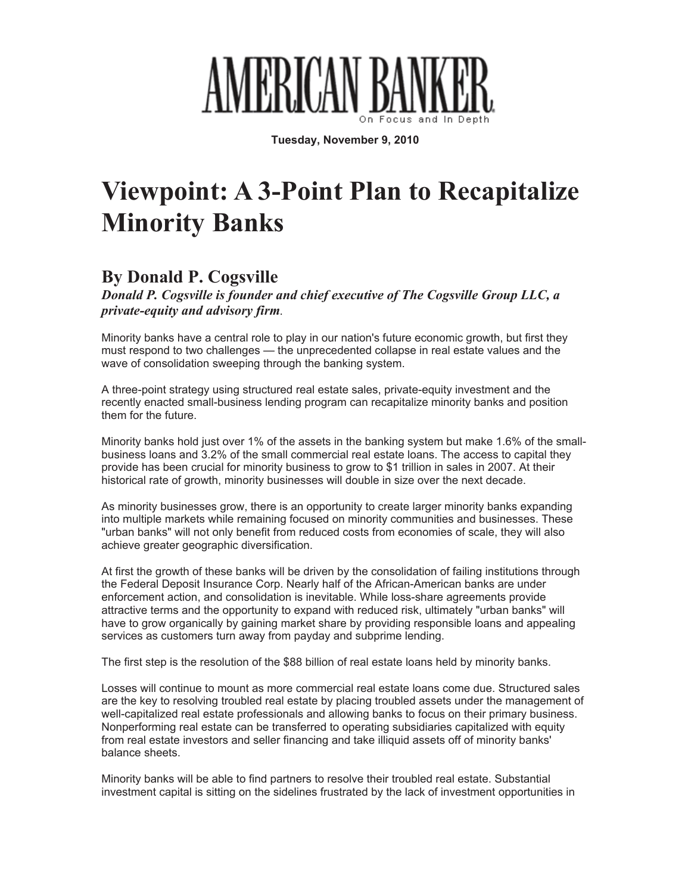

**Tuesday, November 9, 2010**

## **Viewpoint: A 3-Point Plan to Recapitalize Minority Banks**

## **By Donald P. Cogsville**

*Donald P. Cogsville is founder and chief executive of The Cogsville Group LLC, a private-equity and advisory firm.*

Minority banks have a central role to play in our nation's future economic growth, but first they must respond to two challenges — the unprecedented collapse in real estate values and the wave of consolidation sweeping through the banking system.

A three-point strategy using structured real estate sales, private-equity investment and the recently enacted small-business lending program can recapitalize minority banks and position them for the future.

Minority banks hold just over 1% of the assets in the banking system but make 1.6% of the smallbusiness loans and 3.2% of the small commercial real estate loans. The access to capital they provide has been crucial for minority business to grow to \$1 trillion in sales in 2007. At their historical rate of growth, minority businesses will double in size over the next decade.

As minority businesses grow, there is an opportunity to create larger minority banks expanding into multiple markets while remaining focused on minority communities and businesses. These "urban banks" will not only benefit from reduced costs from economies of scale, they will also achieve greater geographic diversification.

At first the growth of these banks will be driven by the consolidation of failing institutions through the Federal Deposit Insurance Corp. Nearly half of the African-American banks are under enforcement action, and consolidation is inevitable. While loss-share agreements provide attractive terms and the opportunity to expand with reduced risk, ultimately "urban banks" will have to grow organically by gaining market share by providing responsible loans and appealing services as customers turn away from payday and subprime lending.

The first step is the resolution of the \$88 billion of real estate loans held by minority banks.

Losses will continue to mount as more commercial real estate loans come due. Structured sales are the key to resolving troubled real estate by placing troubled assets under the management of well-capitalized real estate professionals and allowing banks to focus on their primary business. Nonperforming real estate can be transferred to operating subsidiaries capitalized with equity from real estate investors and seller financing and take illiquid assets off of minority banks' balance sheets.

Minority banks will be able to find partners to resolve their troubled real estate. Substantial investment capital is sitting on the sidelines frustrated by the lack of investment opportunities in